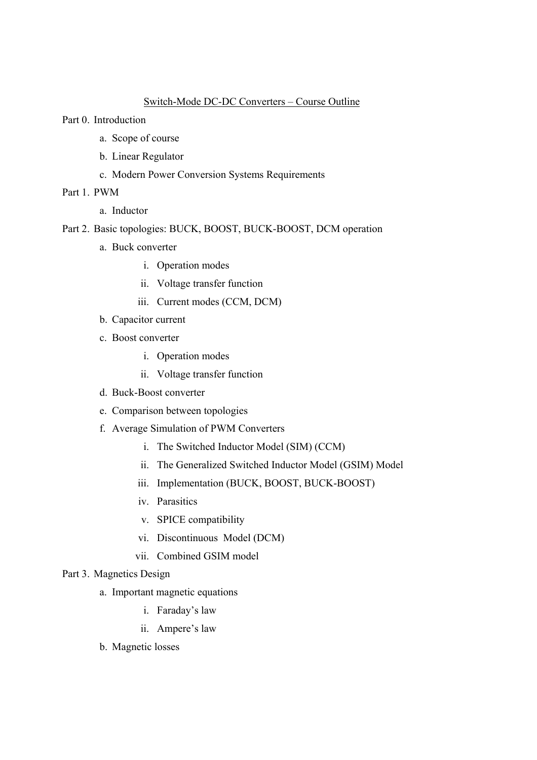## Switch-Mode DC-DC Converters – Course Outline

Part 0. Introduction

- a. Scope of course
- b. Linear Regulator
- c. Modern Power Conversion Systems Requirements
- Part 1. PWM
	- a. Inductor
- Part 2. Basic topologies: BUCK, BOOST, BUCK-BOOST, DCM operation
	- a. Buck converter
		- i. Operation modes
		- ii. Voltage transfer function
		- iii. Current modes (CCM, DCM)
	- b. Capacitor current
	- c. Boost converter
		- i. Operation modes
		- ii. Voltage transfer function
	- d. Buck-Boost converter
	- e. Comparison between topologies
	- f. Average Simulation of PWM Converters
		- i. The Switched Inductor Model (SIM) (CCM)
		- ii. The Generalized Switched Inductor Model (GSIM) Model
		- iii. Implementation (BUCK, BOOST, BUCK-BOOST)
		- iv. Parasitics
		- v. SPICE compatibility
		- vi. Discontinuous Model (DCM)
		- vii. Combined GSIM model

#### Part 3. Magnetics Design

- a. Important magnetic equations
	- i. Faraday's law
	- ii. Ampere's law
- b. Magnetic losses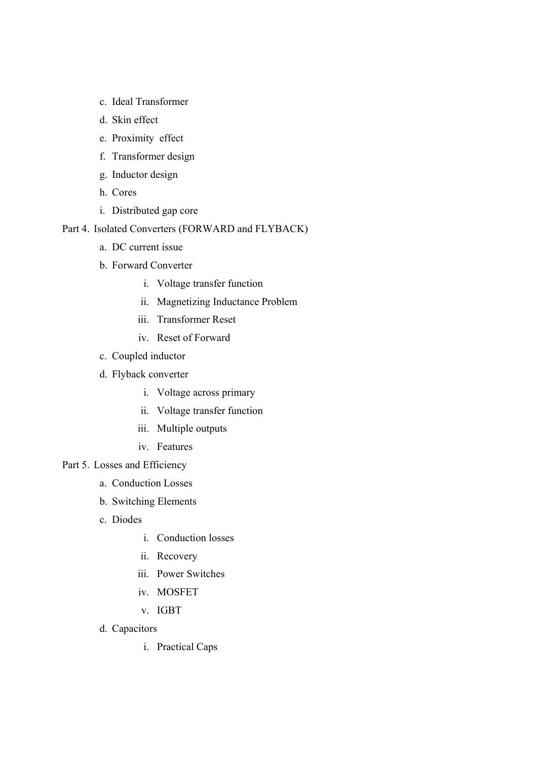- c. Ideal Transformer
- d. Skin effect
- e. Proximity effect
- f. Transformer design
- g. Inductor design
- h. Cores
- i. Distributed gap core

## Part 4. Isolated Converters (FORWARD and FLYBACK)

- a. DC current issue
- b. Forward Converter
	- i. Voltage transfer function
	- ii. Magnetizing Inductance Problem
	- iii. Transformer Reset
	- iv. Reset of Forward
- c. Coupled inductor
- d. Flyback converter
	- i. Voltage across primary
	- ii. Voltage transfer function
	- iii. Multiple outputs
	- iv. Features

# Part 5. Losses and Efficiency

- a. Conduction Losses
- b. Switching Elements
- c. Diodes
	- i. Conduction losses
	- ii. Recovery
	- iii. Power Switches
	- iv. MOSFET
	- v. IGBT
- d. Capacitors
	- i. Practical Caps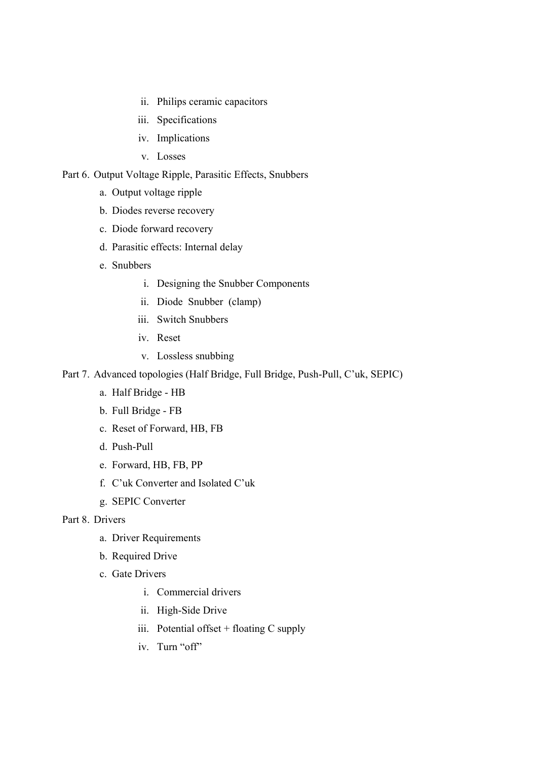- ii. Philips ceramic capacitors
- iii. Specifications
- iv. Implications
- v. Losses

### Part 6. Output Voltage Ripple, Parasitic Effects, Snubbers

- a. Output voltage ripple
- b. Diodes reverse recovery
- c. Diode forward recovery
- d. Parasitic effects: Internal delay
- e. Snubbers
	- i. Designing the Snubber Components
	- ii. Diode Snubber (clamp)
	- iii. Switch Snubbers
	- iv. Reset
	- v. Lossless snubbing

## Part 7. Advanced topologies (Half Bridge, Full Bridge, Push-Pull, C'uk, SEPIC)

- a. Half Bridge HB
- b. Full Bridge FB
- c. Reset of Forward, HB, FB
- d. Push-Pull
- e. Forward, HB, FB, PP
- f. C'uk Converter and Isolated C'uk
- g. SEPIC Converter

# Part 8. Drivers

- a. Driver Requirements
- b. Required Drive
- c. Gate Drivers
	- i. Commercial drivers
	- ii. High-Side Drive
	- iii. Potential offset + floating C supply
	- iv. Turn "off"